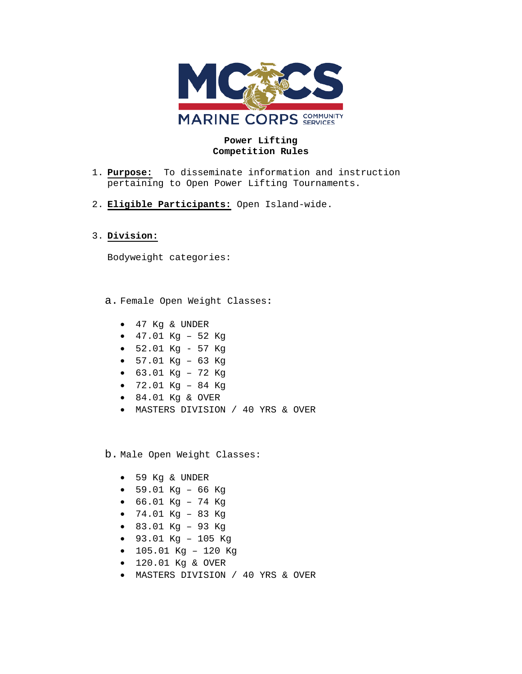

## **Power Lifting Competition Rules**

- 1. **Purpose:** To disseminate information and instruction pertaining to Open Power Lifting Tournaments.
- 2. **Eligible Participants:** Open Island-wide.

## 3. **Division:**

Bodyweight categories:

a. Female Open Weight Classes**:**

- 47 Kg & UNDER
- 47.01 Kg 52 Kg
- 52.01 Kg 57 Kg
- $57.01$  Kq 63 Kq
- 63.01 Kg 72 Kg
- 72.01 Kg 84 Kg
- 84.01 Kg & OVER
- MASTERS DIVISION / 40 YRS & OVER

b. Male Open Weight Classes:

- 59 Kg & UNDER
- 59.01 Kg 66 Kg
- 66.01 Kg 74 Kg
- 74.01 Kg 83 Kg
- 83.01 Kg 93 Kg
- 93.01 Kg 105 Kg
- 105.01 Kg 120 Kg
- 120.01 Kg & OVER
- MASTERS DIVISION / 40 YRS & OVER